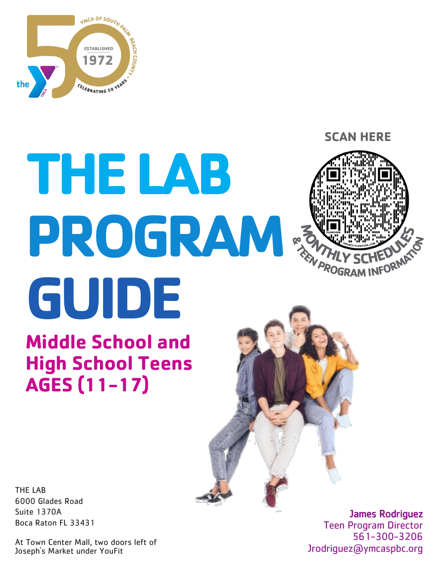

# **THE LAB PROGRAM GUIDE**

**Middle School and High School Teens AGES (11-17)**

**SCAN HERE**

THE LAB 6000 Glades Road Suite 1370A Boca Raton FL 33431

At Town Center Mall, two doors left of Joseph's Market under YouFit

James Rodriguez Teen Program Director 561-300-3206 Jrodriguez@ymcaspbc.org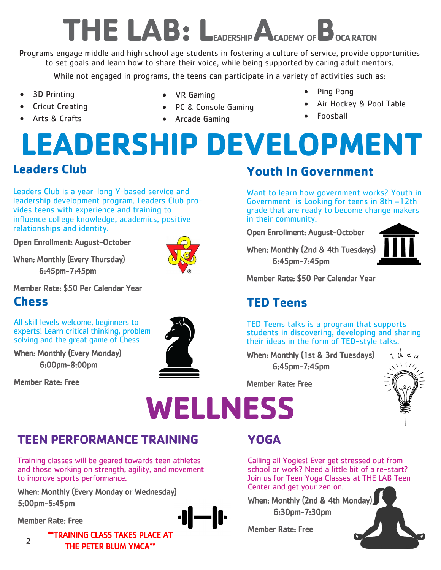### **THE LAB: LEADERSHIP ACADEMY OFBOCA RATON**

Programs engage middle and high school age students in fostering a culture of service, provide opportunities to set goals and learn how to share their voice, while being supported by caring adult mentors.

While not engaged in programs, the teens can participate in a variety of activities such as:

- 3D Printing
- Cricut Creating
- Arts & Crafts
- VR Gaming
- PC & Console Gaming
- Arcade Gaming
- Ping Pong
- Air Hockey & Pool Table
- Foosball

### **Leaders Club LEADERSHIP DEVELOPMENT**

Leaders Club is a year-long Y-based service and leadership development program. Leaders Club provides teens with experience and training to influence college knowledge, academics, positive relationships and identity.

Open Enrollment: August-October

When: Monthly (Every Thursday) 6:45pm-7:45pm

Member Rate: \$50 Per Calendar Year

#### **Chess**

All skill levels welcome, beginners to experts! Learn critical thinking, problem solving and the great game of Chess

When: Monthly (Every Monday) 6:00pm-8:00pm

Member Rate: Free



#### **Youth In Government**

Want to learn how government works? Youth in Government is Looking for teens in 8th –12th grade that are ready to become change makers in their community.

Open Enrollment: August-October

When: Monthly (2nd & 4th Tuesdays) 6:45pm-7:45pm



Member Rate: \$50 Per Calendar Year

#### **TED Teens**

TED Teens talks is a program that supports students in discovering, developing and sharing their ideas in the form of TED-style talks.

When: Monthly (1st & 3rd Tuesdays) 6:45pm-7:45pm



Member Rate: Free

### **WELLNESS**

#### **TEEN PERFORMANCE TRAINING**

Training classes will be geared towards teen athletes and those working on strength, agility, and movement to improve sports performance.

When: Monthly (Every Monday or Wednesday) 5:00pm-5:45pm

Member Rate: Free



#### **YOGA**

Calling all Yogies! Ever get stressed out from school or work? Need a little bit of a re-start? Join us for Teen Yoga Classes at THE LAB Teen Center and get your zen on.

When: Monthly (2nd & 4th Monday) 6:30pm-7:30pm

Member Rate: Free



\*\*TRAINING CLASS TAKES PLACE AT THE PETER BLUM YMCA\*\*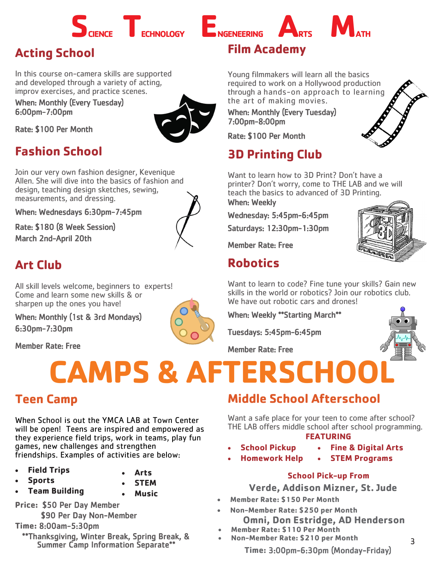

#### **Acting School**

In this course on-camera skills are supported and developed through a variety of acting, improv exercises, and practice scenes.

When: Monthly (Every Tuesday) 6:00pm-7:00pm



Rate: \$100 Per Month

#### **Fashion School**

Join our very own fashion designer, Kevenique Allen. She will dive into the basics of fashion and design, teaching design sketches, sewing, measurements, and dressing.

When: Wednesdays 6:30pm-7:45pm

Rate: \$180 (8 Week Session) March 2nd-April 20th



#### **Art Club**

All skill levels welcome, beginners to experts! Come and learn some new skills & or sharpen up the ones you have!

When: Monthly (1st & 3rd Mondays) 6:30pm-7:30pm

Member Rate: Free

## **CAMPS & AFTERSCHOO**

When School is out the YMCA LAB at Town Center will be open! Teens are inspired and empowered as they experience field trips, work in teams, play fun games, new challenges and strengthen friendships. Examples of activities are below:

- **Field Trips**
	- **Sports**
- 
- **Team Building**
- **STEM**

**Arts** 

**Music** 

**Price:** \$50 Per Day Member \$90 Per Day Non-Member

**Time:** 8:00am-5:30pm

\*\*Thanksgiving, Winter Break, Spring Break, & Summer Camp Information Separate\*\*

#### **Film Academy**

Young filmmakers will learn all the basics required to work on a Hollywood production through a hands-on approach to learning the art of making movies.

When: Monthly (Every Tuesday) 7:00pm-8:00pm

Rate: \$100 Per Month

#### **3D Printing Club**

Want to learn how to 3D Print? Don't have a printer? Don't worry, come to THE LAB and we will teach the basics to advanced of 3D Printing.

When: Weekly

Wednesday: 5:45pm-6:45pm

Saturdays: 12:30pm-1:30pm

Member Rate: Free

#### **Robotics**

Want to learn to code? Fine tune your skills? Gain new skills in the world or robotics? Join our robotics club. We have out robotic cars and drones!

When: Weekly \*\*Starting March\*\*

Tuesdays: 5:45pm-6:45pm

Member Rate: Free



3

#### **Teen Camp Middle School Afterschool**

**FEATURING** Want a safe place for your teen to come after school? THE LAB offers middle school after school programming.

#### **School Pickup**

- 
- **Homework Help**
- **Fine & Digital Arts**
- **STEM Programs**

#### **School Pick-up From**

**Verde, Addison Mizner, St. Jude**

- **Member Rate: \$150 Per Month**
- **Non-Member Rate: \$250 per Month Omni, Don Estridge, AD Henderson**
- **Member Rate: \$110 Per Month**
- **Non-Member Rate: \$210 per Month**

**Time:** 3:00pm-6:30pm (Monday-Friday)